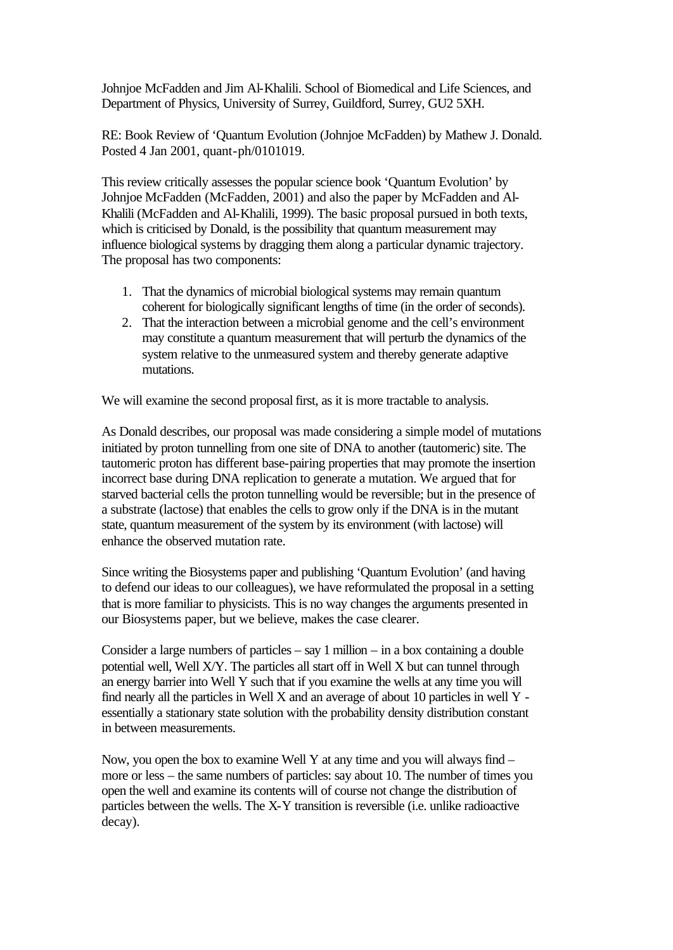Johnjoe McFadden and Jim Al-Khalili. School of Biomedical and Life Sciences, and Department of Physics, University of Surrey, Guildford, Surrey, GU2 5XH.

RE: Book Review of 'Quantum Evolution (Johnjoe McFadden) by Mathew J. Donald. Posted 4 Jan 2001, quant-ph/0101019.

This review critically assesses the popular science book 'Quantum Evolution' by Johnjoe McFadden (McFadden, 2001) and also the paper by McFadden and Al-Khalili (McFadden and Al-Khalili, 1999). The basic proposal pursued in both texts, which is criticised by Donald, is the possibility that quantum measurement may influence biological systems by dragging them along a particular dynamic trajectory. The proposal has two components:

- 1. That the dynamics of microbial biological systems may remain quantum coherent for biologically significant lengths of time (in the order of seconds).
- 2. That the interaction between a microbial genome and the cell's environment may constitute a quantum measurement that will perturb the dynamics of the system relative to the unmeasured system and thereby generate adaptive mutations.

We will examine the second proposal first, as it is more tractable to analysis.

As Donald describes, our proposal was made considering a simple model of mutations initiated by proton tunnelling from one site of DNA to another (tautomeric) site. The tautomeric proton has different base-pairing properties that may promote the insertion incorrect base during DNA replication to generate a mutation. We argued that for starved bacterial cells the proton tunnelling would be reversible; but in the presence of a substrate (lactose) that enables the cells to grow only if the DNA is in the mutant state, quantum measurement of the system by its environment (with lactose) will enhance the observed mutation rate.

Since writing the Biosystems paper and publishing 'Quantum Evolution' (and having to defend our ideas to our colleagues), we have reformulated the proposal in a setting that is more familiar to physicists. This is no way changes the arguments presented in our Biosystems paper, but we believe, makes the case clearer.

Consider a large numbers of particles  $-$  say 1 million  $-$  in a box containing a double potential well, Well X/Y. The particles all start off in Well X but can tunnel through an energy barrier into Well Y such that if you examine the wells at any time you will find nearly all the particles in Well X and an average of about 10 particles in well Y essentially a stationary state solution with the probability density distribution constant in between measurements.

Now, you open the box to examine Well Y at any time and you will always find – more or less – the same numbers of particles: say about 10. The number of times you open the well and examine its contents will of course not change the distribution of particles between the wells. The X-Y transition is reversible (i.e. unlike radioactive decay).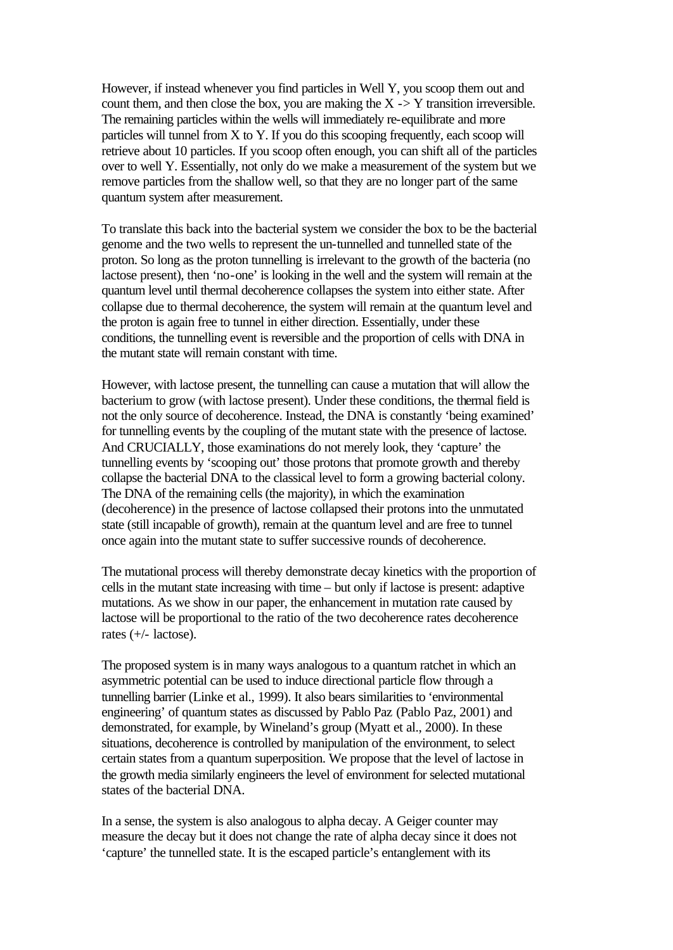However, if instead whenever you find particles in Well Y, you scoop them out and count them, and then close the box, you are making the  $X \rightarrow Y$  transition irreversible. The remaining particles within the wells will immediately re-equilibrate and more particles will tunnel from X to Y. If you do this scooping frequently, each scoop will retrieve about 10 particles. If you scoop often enough, you can shift all of the particles over to well Y. Essentially, not only do we make a measurement of the system but we remove particles from the shallow well, so that they are no longer part of the same quantum system after measurement.

To translate this back into the bacterial system we consider the box to be the bacterial genome and the two wells to represent the un-tunnelled and tunnelled state of the proton. So long as the proton tunnelling is irrelevant to the growth of the bacteria (no lactose present), then 'no-one' is looking in the well and the system will remain at the quantum level until thermal decoherence collapses the system into either state. After collapse due to thermal decoherence, the system will remain at the quantum level and the proton is again free to tunnel in either direction. Essentially, under these conditions, the tunnelling event is reversible and the proportion of cells with DNA in the mutant state will remain constant with time.

However, with lactose present, the tunnelling can cause a mutation that will allow the bacterium to grow (with lactose present). Under these conditions, the thermal field is not the only source of decoherence. Instead, the DNA is constantly 'being examined' for tunnelling events by the coupling of the mutant state with the presence of lactose. And CRUCIALLY, those examinations do not merely look, they 'capture' the tunnelling events by 'scooping out' those protons that promote growth and thereby collapse the bacterial DNA to the classical level to form a growing bacterial colony. The DNA of the remaining cells (the majority), in which the examination (decoherence) in the presence of lactose collapsed their protons into the unmutated state (still incapable of growth), remain at the quantum level and are free to tunnel once again into the mutant state to suffer successive rounds of decoherence.

The mutational process will thereby demonstrate decay kinetics with the proportion of cells in the mutant state increasing with time – but only if lactose is present: adaptive mutations. As we show in our paper, the enhancement in mutation rate caused by lactose will be proportional to the ratio of the two decoherence rates decoherence rates (+/- lactose).

The proposed system is in many ways analogous to a quantum ratchet in which an asymmetric potential can be used to induce directional particle flow through a tunnelling barrier (Linke et al., 1999). It also bears similarities to 'environmental engineering' of quantum states as discussed by Pablo Paz (Pablo Paz, 2001) and demonstrated, for example, by Wineland's group (Myatt et al., 2000). In these situations, decoherence is controlled by manipulation of the environment, to select certain states from a quantum superposition. We propose that the level of lactose in the growth media similarly engineers the level of environment for selected mutational states of the bacterial DNA.

In a sense, the system is also analogous to alpha decay. A Geiger counter may measure the decay but it does not change the rate of alpha decay since it does not 'capture' the tunnelled state. It is the escaped particle's entanglement with its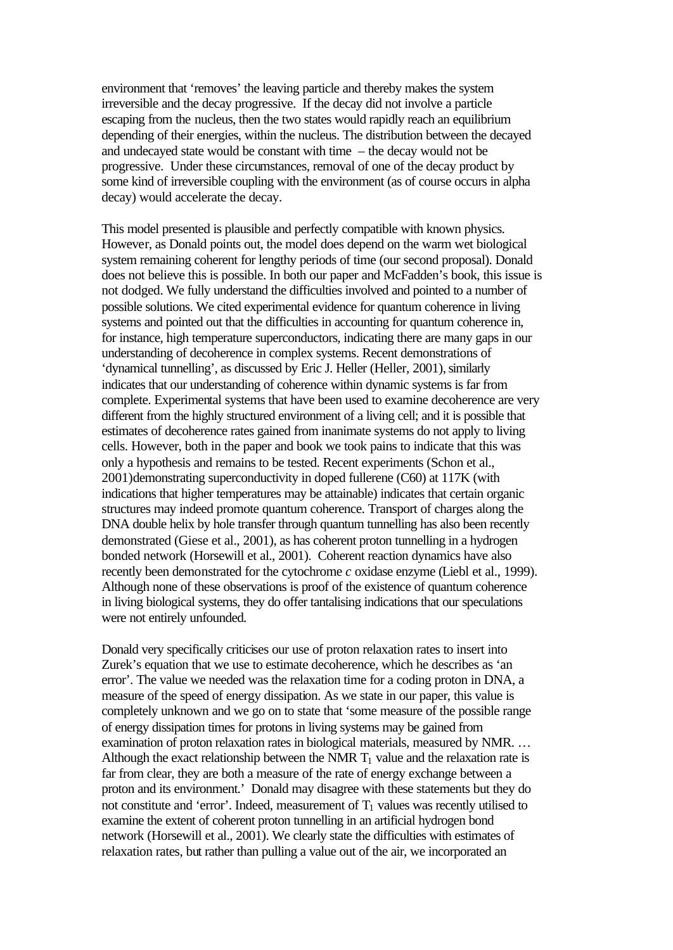environment that 'removes' the leaving particle and thereby makes the system irreversible and the decay progressive. If the decay did not involve a particle escaping from the nucleus, then the two states would rapidly reach an equilibrium depending of their energies, within the nucleus. The distribution between the decayed and undecayed state would be constant with time – the decay would not be progressive. Under these circumstances, removal of one of the decay product by some kind of irreversible coupling with the environment (as of course occurs in alpha decay) would accelerate the decay.

This model presented is plausible and perfectly compatible with known physics. However, as Donald points out, the model does depend on the warm wet biological system remaining coherent for lengthy periods of time (our second proposal). Donald does not believe this is possible. In both our paper and McFadden's book, this issue is not dodged. We fully understand the difficulties involved and pointed to a number of possible solutions. We cited experimental evidence for quantum coherence in living systems and pointed out that the difficulties in accounting for quantum coherence in, for instance, high temperature superconductors, indicating there are many gaps in our understanding of decoherence in complex systems. Recent demonstrations of 'dynamical tunnelling', as discussed by Eric J. Heller (Heller, 2001), similarly indicates that our understanding of coherence within dynamic systems is far from complete. Experimental systems that have been used to examine decoherence are very different from the highly structured environment of a living cell; and it is possible that estimates of decoherence rates gained from inanimate systems do not apply to living cells. However, both in the paper and book we took pains to indicate that this was only a hypothesis and remains to be tested. Recent experiments (Schon et al., 2001)demonstrating superconductivity in doped fullerene (C60) at 117K (with indications that higher temperatures may be attainable) indicates that certain organic structures may indeed promote quantum coherence. Transport of charges along the DNA double helix by hole transfer through quantum tunnelling has also been recently demonstrated (Giese et al., 2001), as has coherent proton tunnelling in a hydrogen bonded network (Horsewill et al., 2001). Coherent reaction dynamics have also recently been demonstrated for the cytochrome *c* oxidase enzyme (Liebl et al., 1999). Although none of these observations is proof of the existence of quantum coherence in living biological systems, they do offer tantalising indications that our speculations were not entirely unfounded.

Donald very specifically criticises our use of proton relaxation rates to insert into Zurek's equation that we use to estimate decoherence, which he describes as 'an error'. The value we needed was the relaxation time for a coding proton in DNA, a measure of the speed of energy dissipation. As we state in our paper, this value is completely unknown and we go on to state that 'some measure of the possible range of energy dissipation times for protons in living systems may be gained from examination of proton relaxation rates in biological materials, measured by NMR. … Although the exact relationship between the NMR  $T_1$  value and the relaxation rate is far from clear, they are both a measure of the rate of energy exchange between a proton and its environment.' Donald may disagree with these statements but they do not constitute and 'error'. Indeed, measurement of  $T_1$  values was recently utilised to examine the extent of coherent proton tunnelling in an artificial hydrogen bond network (Horsewill et al., 2001). We clearly state the difficulties with estimates of relaxation rates, but rather than pulling a value out of the air, we incorporated an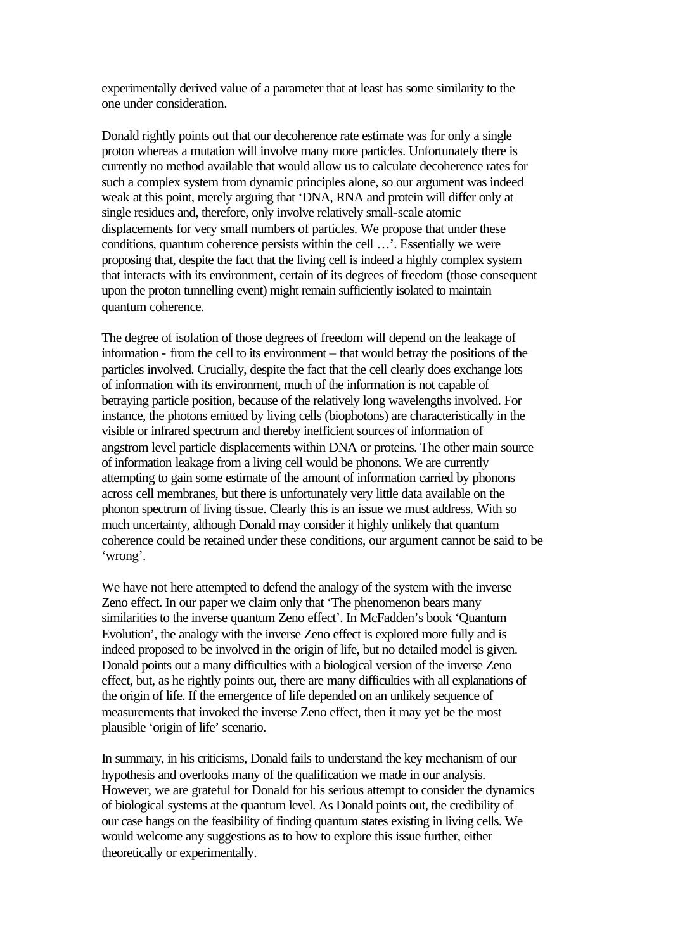experimentally derived value of a parameter that at least has some similarity to the one under consideration.

Donald rightly points out that our decoherence rate estimate was for only a single proton whereas a mutation will involve many more particles. Unfortunately there is currently no method available that would allow us to calculate decoherence rates for such a complex system from dynamic principles alone, so our argument was indeed weak at this point, merely arguing that 'DNA, RNA and protein will differ only at single residues and, therefore, only involve relatively small-scale atomic displacements for very small numbers of particles. We propose that under these conditions, quantum coherence persists within the cell …'. Essentially we were proposing that, despite the fact that the living cell is indeed a highly complex system that interacts with its environment, certain of its degrees of freedom (those consequent upon the proton tunnelling event) might remain sufficiently isolated to maintain quantum coherence.

The degree of isolation of those degrees of freedom will depend on the leakage of information - from the cell to its environment – that would betray the positions of the particles involved. Crucially, despite the fact that the cell clearly does exchange lots of information with its environment, much of the information is not capable of betraying particle position, because of the relatively long wavelengths involved. For instance, the photons emitted by living cells (biophotons) are characteristically in the visible or infrared spectrum and thereby inefficient sources of information of angstrom level particle displacements within DNA or proteins. The other main source of information leakage from a living cell would be phonons. We are currently attempting to gain some estimate of the amount of information carried by phonons across cell membranes, but there is unfortunately very little data available on the phonon spectrum of living tissue. Clearly this is an issue we must address. With so much uncertainty, although Donald may consider it highly unlikely that quantum coherence could be retained under these conditions, our argument cannot be said to be 'wrong'.

We have not here attempted to defend the analogy of the system with the inverse Zeno effect. In our paper we claim only that 'The phenomenon bears many similarities to the inverse quantum Zeno effect'. In McFadden's book 'Quantum Evolution', the analogy with the inverse Zeno effect is explored more fully and is indeed proposed to be involved in the origin of life, but no detailed model is given. Donald points out a many difficulties with a biological version of the inverse Zeno effect, but, as he rightly points out, there are many difficulties with all explanations of the origin of life. If the emergence of life depended on an unlikely sequence of measurements that invoked the inverse Zeno effect, then it may yet be the most plausible 'origin of life' scenario.

In summary, in his criticisms, Donald fails to understand the key mechanism of our hypothesis and overlooks many of the qualification we made in our analysis. However, we are grateful for Donald for his serious attempt to consider the dynamics of biological systems at the quantum level. As Donald points out, the credibility of our case hangs on the feasibility of finding quantum states existing in living cells. We would welcome any suggestions as to how to explore this issue further, either theoretically or experimentally.